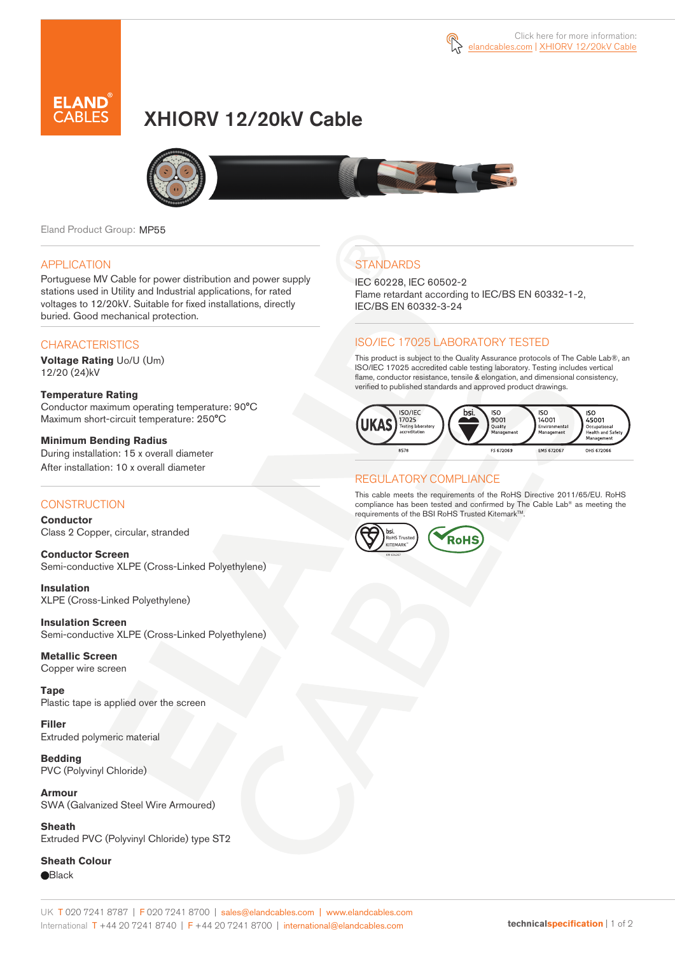

# XHIORV 12/20kV Cable



Eland Product Group: MP55

#### APPLICATION

Portuguese MV Cable for power distribution and power supply stations used in Utility and Industrial applications, for rated voltages to 12/20kV. Suitable for fixed installations, directly buried. Good mechanical protection.

### **CHARACTERISTICS**

**Voltage Rating** Uo/U (Um) 12/20 (24)kV

#### **Temperature Rating**  Conductor maximum operating temperature: 90°C Maximum short-circuit temperature: 250°C

**Minimum Bending Radius**  During installation: 15 x overall diameter After installation: 10 x overall diameter

### **CONSTRUCTION**

**Conductor**  Class 2 Copper, circular, stranded

**Conductor Screen** Semi-conductive XLPE (Cross-Linked Polyethylene)

**Insulation** XLPE (Cross-Linked Polyethylene)

**Insulation Screen** Semi-conductive XLPE (Cross-Linked Polyethylene)

**Metallic Screen**  Copper wire screen

**Tape**  Plastic tape is applied over the screen

**Filler** Extruded polymeric material

**Bedding** PVC (Polyvinyl Chloride)

**Armour** SWA (Galvanized Steel Wire Armoured)

**Sheath** Extruded PVC (Polyvinyl Chloride) type ST2

**Sheath Colour Black** 

## **STANDARDS**

IEC 60228, IEC 60502-2 Flame retardant according to IEC/BS EN 60332-1-2, IEC/BS EN 60332-3-24

### ISO/IEC 17025 LABORATORY TESTED

This product is subject to the Quality Assurance protocols of The Cable Lab®, an ISO/IEC 17025 accredited cable testing laboratory. Testing includes vertical flame, conductor resistance, tensile & elongation, and dimensional consistency, verified to published standards and approved product drawings.



### REGULATORY COMPLIANCE

This cable meets the requirements of the RoHS Directive 2011/65/EU. RoHS compliance has been tested and confirmed by The Cable Lab® as meeting the requirements of the BSI RoHS Trusted Kitemark™.